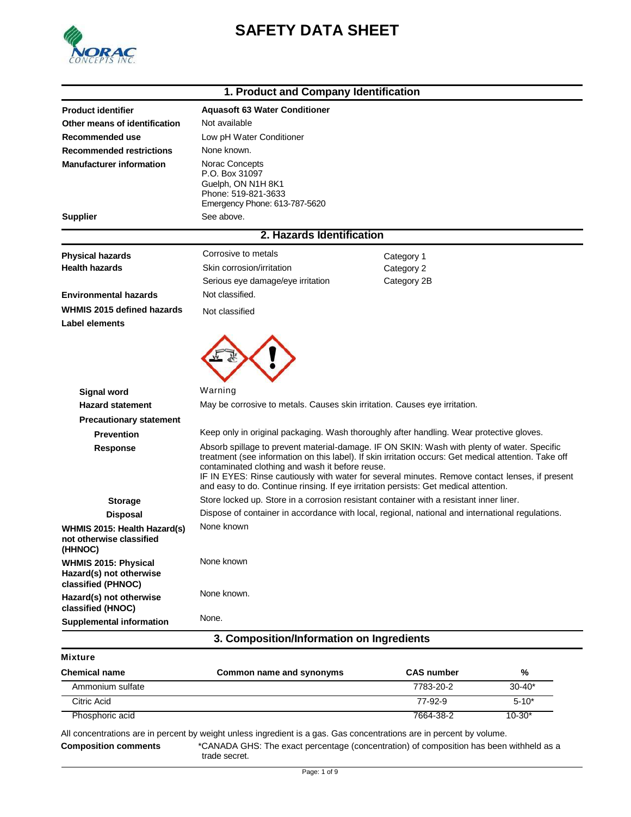

# **SAFETY DATA SHEET**

# **1. Product and Company Identification**

| <b>Product identifier</b>                                             | <b>Aquasoft 63 Water Conditioner</b>                                                                                                    |                                                                                                                                                                                                         |
|-----------------------------------------------------------------------|-----------------------------------------------------------------------------------------------------------------------------------------|---------------------------------------------------------------------------------------------------------------------------------------------------------------------------------------------------------|
| Other means of identification                                         | Not available                                                                                                                           |                                                                                                                                                                                                         |
| Recommended use                                                       | Low pH Water Conditioner                                                                                                                |                                                                                                                                                                                                         |
| <b>Recommended restrictions</b>                                       | None known.                                                                                                                             |                                                                                                                                                                                                         |
| <b>Manufacturer information</b>                                       | Norac Concepts<br>P.O. Box 31097<br>Guelph, ON N1H 8K1<br>Phone: 519-821-3633<br>Emergency Phone: 613-787-5620                          |                                                                                                                                                                                                         |
| <b>Supplier</b>                                                       | See above.                                                                                                                              |                                                                                                                                                                                                         |
|                                                                       | 2. Hazards Identification                                                                                                               |                                                                                                                                                                                                         |
| <b>Physical hazards</b>                                               | Corrosive to metals                                                                                                                     | Category 1                                                                                                                                                                                              |
| <b>Health hazards</b>                                                 | Skin corrosion/irritation                                                                                                               | Category 2                                                                                                                                                                                              |
|                                                                       | Serious eye damage/eye irritation                                                                                                       | Category 2B                                                                                                                                                                                             |
| <b>Environmental hazards</b>                                          | Not classified.                                                                                                                         |                                                                                                                                                                                                         |
| WHMIS 2015 defined hazards<br>Label elements                          | Not classified                                                                                                                          |                                                                                                                                                                                                         |
|                                                                       | Warning                                                                                                                                 |                                                                                                                                                                                                         |
| <b>Signal word</b>                                                    |                                                                                                                                         |                                                                                                                                                                                                         |
| <b>Hazard statement</b>                                               | May be corrosive to metals. Causes skin irritation. Causes eye irritation.                                                              |                                                                                                                                                                                                         |
| <b>Precautionary statement</b>                                        | Keep only in original packaging. Wash thoroughly after handling. Wear protective gloves.                                                |                                                                                                                                                                                                         |
| <b>Prevention</b>                                                     |                                                                                                                                         | Absorb spillage to prevent material-damage. IF ON SKIN: Wash with plenty of water. Specific                                                                                                             |
| Response                                                              | contaminated clothing and wash it before reuse.<br>and easy to do. Continue rinsing. If eye irritation persists: Get medical attention. | treatment (see information on this label). If skin irritation occurs: Get medical attention. Take off<br>IF IN EYES: Rinse cautiously with water for several minutes. Remove contact lenses, if present |
| <b>Storage</b>                                                        | Store locked up. Store in a corrosion resistant container with a resistant inner liner.                                                 |                                                                                                                                                                                                         |
| <b>Disposal</b>                                                       |                                                                                                                                         | Dispose of container in accordance with local, regional, national and international regulations.                                                                                                        |
| WHMIS 2015: Health Hazard(s)<br>not otherwise classified<br>(HHNOC)   | None known                                                                                                                              |                                                                                                                                                                                                         |
| WHMIS 2015: Physical<br>Hazard(s) not otherwise<br>classified (PHNOC) | None known                                                                                                                              |                                                                                                                                                                                                         |
| Hazard(s) not otherwise<br>classified (HNOC)                          | None known.                                                                                                                             |                                                                                                                                                                                                         |
| <b>Supplemental information</b>                                       | None.                                                                                                                                   |                                                                                                                                                                                                         |
|                                                                       | 3. Composition/Information on Ingredients                                                                                               |                                                                                                                                                                                                         |
|                                                                       |                                                                                                                                         |                                                                                                                                                                                                         |

| Mixt<br>ur |  |
|------------|--|
|            |  |

| <b>Chemical name</b> | Common name and synonyms | <b>CAS number</b> | %          |
|----------------------|--------------------------|-------------------|------------|
| Ammonium sulfate     |                          | 7783-20-2         | $30 - 40*$ |
| Citric Acid          |                          | 77-92-9           | $5 - 10^*$ |
| Phosphoric acid      |                          | 7664-38-2         | $10 - 30*$ |

All concentrations are in percent by weight unless ingredient is a gas. Gas concentrations are in percent by volume. **Composition comments** \*CANADA GHS: The exact percentage (concentration) of composition has been withheld as a trade secret.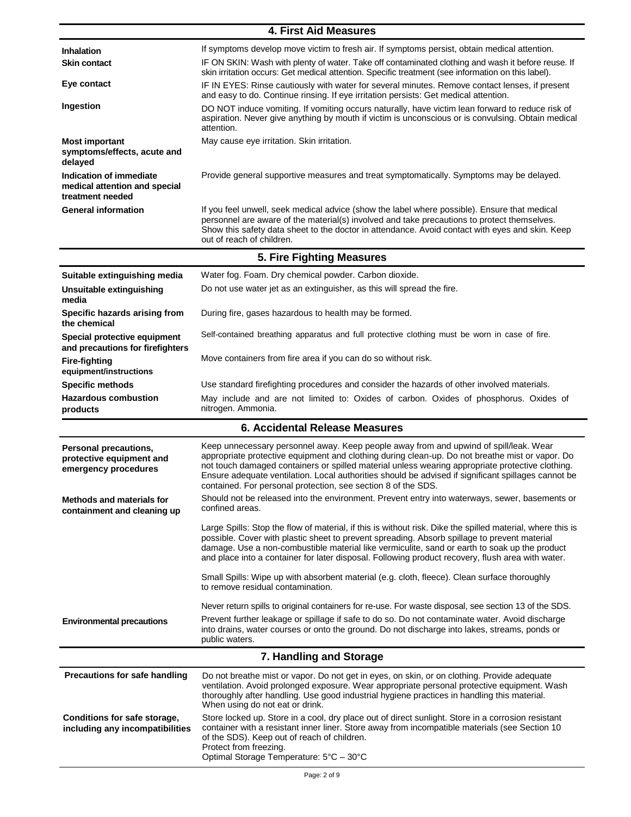| <b>4. First Aid Measures</b>                                                 |                                                                                                                                                                                                                                                                                                                                                                                                                                                                      |  |
|------------------------------------------------------------------------------|----------------------------------------------------------------------------------------------------------------------------------------------------------------------------------------------------------------------------------------------------------------------------------------------------------------------------------------------------------------------------------------------------------------------------------------------------------------------|--|
| <b>Inhalation</b>                                                            | If symptoms develop move victim to fresh air. If symptoms persist, obtain medical attention.                                                                                                                                                                                                                                                                                                                                                                         |  |
| <b>Skin contact</b>                                                          | IF ON SKIN: Wash with plenty of water. Take off contaminated clothing and wash it before reuse. If<br>skin irritation occurs: Get medical attention. Specific treatment (see information on this label).                                                                                                                                                                                                                                                             |  |
| Eye contact                                                                  | IF IN EYES: Rinse cautiously with water for several minutes. Remove contact lenses, if present<br>and easy to do. Continue rinsing. If eye irritation persists: Get medical attention.                                                                                                                                                                                                                                                                               |  |
| Ingestion                                                                    | DO NOT induce vomiting. If vomiting occurs naturally, have victim lean forward to reduce risk of<br>aspiration. Never give anything by mouth if victim is unconscious or is convulsing. Obtain medical<br>attention.                                                                                                                                                                                                                                                 |  |
| <b>Most important</b><br>symptoms/effects, acute and<br>delayed              | May cause eye irritation. Skin irritation.                                                                                                                                                                                                                                                                                                                                                                                                                           |  |
| Indication of immediate<br>medical attention and special<br>treatment needed | Provide general supportive measures and treat symptomatically. Symptoms may be delayed.                                                                                                                                                                                                                                                                                                                                                                              |  |
| <b>General information</b>                                                   | If you feel unwell, seek medical advice (show the label where possible). Ensure that medical<br>personnel are aware of the material(s) involved and take precautions to protect themselves.<br>Show this safety data sheet to the doctor in attendance. Avoid contact with eyes and skin. Keep<br>out of reach of children.                                                                                                                                          |  |
|                                                                              | 5. Fire Fighting Measures                                                                                                                                                                                                                                                                                                                                                                                                                                            |  |
| Suitable extinguishing media                                                 | Water fog. Foam. Dry chemical powder. Carbon dioxide.                                                                                                                                                                                                                                                                                                                                                                                                                |  |
| Unsuitable extinguishing<br>media                                            | Do not use water jet as an extinguisher, as this will spread the fire.                                                                                                                                                                                                                                                                                                                                                                                               |  |
| Specific hazards arising from<br>the chemical                                | During fire, gases hazardous to health may be formed.                                                                                                                                                                                                                                                                                                                                                                                                                |  |
| Special protective equipment<br>and precautions for firefighters             | Self-contained breathing apparatus and full protective clothing must be worn in case of fire.                                                                                                                                                                                                                                                                                                                                                                        |  |
| <b>Fire-fighting</b><br>equipment/instructions                               | Move containers from fire area if you can do so without risk.                                                                                                                                                                                                                                                                                                                                                                                                        |  |
| <b>Specific methods</b>                                                      | Use standard firefighting procedures and consider the hazards of other involved materials.                                                                                                                                                                                                                                                                                                                                                                           |  |
| <b>Hazardous combustion</b><br>products                                      | May include and are not limited to: Oxides of carbon. Oxides of phosphorus. Oxides of<br>nitrogen. Ammonia.                                                                                                                                                                                                                                                                                                                                                          |  |
| 6. Accidental Release Measures                                               |                                                                                                                                                                                                                                                                                                                                                                                                                                                                      |  |
| Personal precautions,<br>protective equipment and<br>emergency procedures    | Keep unnecessary personnel away. Keep people away from and upwind of spill/leak. Wear<br>appropriate protective equipment and clothing during clean-up. Do not breathe mist or vapor. Do<br>not touch damaged containers or spilled material unless wearing appropriate protective clothing.<br>Ensure adequate ventilation. Local authorities should be advised if significant spillages cannot be<br>contained. For personal protection, see section 8 of the SDS. |  |
| <b>Methods and materials for</b><br>containment and cleaning up              | Should not be released into the environment. Prevent entry into waterways, sewer, basements or<br>confined areas.                                                                                                                                                                                                                                                                                                                                                    |  |
|                                                                              | Large Spills: Stop the flow of material, if this is without risk. Dike the spilled material, where this is<br>possible. Cover with plastic sheet to prevent spreading. Absorb spillage to prevent material<br>damage. Use a non-combustible material like vermiculite, sand or earth to soak up the product<br>and place into a container for later disposal. Following product recovery, flush area with water.                                                     |  |
|                                                                              | Small Spills: Wipe up with absorbent material (e.g. cloth, fleece). Clean surface thoroughly<br>to remove residual contamination.                                                                                                                                                                                                                                                                                                                                    |  |
| <b>Environmental precautions</b>                                             | Never return spills to original containers for re-use. For waste disposal, see section 13 of the SDS.<br>Prevent further leakage or spillage if safe to do so. Do not contaminate water. Avoid discharge<br>into drains, water courses or onto the ground. Do not discharge into lakes, streams, ponds or<br>public waters.                                                                                                                                          |  |
|                                                                              | 7. Handling and Storage                                                                                                                                                                                                                                                                                                                                                                                                                                              |  |
| Precautions for safe handling                                                | Do not breathe mist or vapor. Do not get in eyes, on skin, or on clothing. Provide adequate<br>ventilation. Avoid prolonged exposure. Wear appropriate personal protective equipment. Wash<br>thoroughly after handling. Use good industrial hygiene practices in handling this material.<br>When using do not eat or drink.                                                                                                                                         |  |
| Conditions for safe storage,<br>including any incompatibilities              | Store locked up. Store in a cool, dry place out of direct sunlight. Store in a corrosion resistant<br>container with a resistant inner liner. Store away from incompatible materials (see Section 10<br>of the SDS). Keep out of reach of children.<br>Protect from freezing.<br>Optimal Storage Temperature: 5°C - 30°C                                                                                                                                             |  |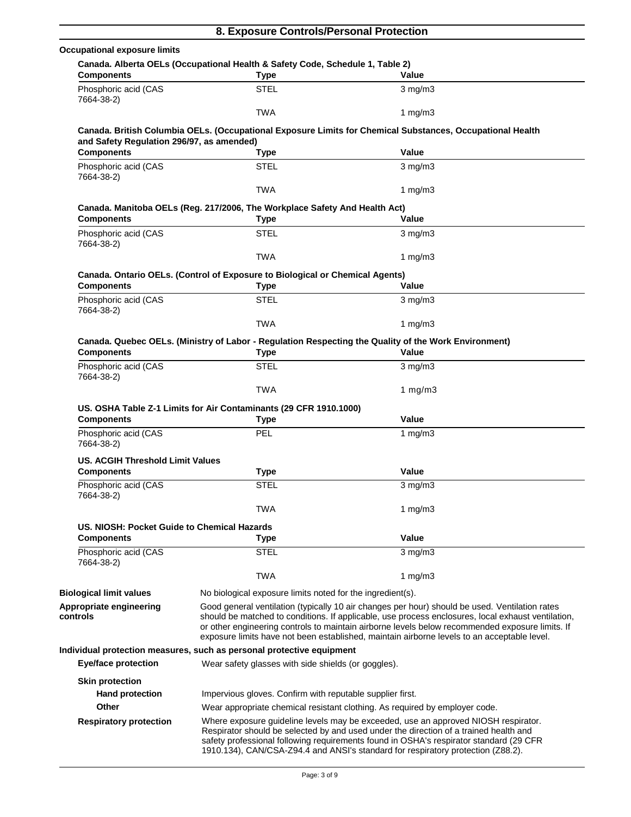|                                                         | 8. Exposure Controls/Personal Protection                                                       |                                                                                                                                                                                                                                                                                                                                                                                                        |
|---------------------------------------------------------|------------------------------------------------------------------------------------------------|--------------------------------------------------------------------------------------------------------------------------------------------------------------------------------------------------------------------------------------------------------------------------------------------------------------------------------------------------------------------------------------------------------|
| <b>Occupational exposure limits</b>                     |                                                                                                |                                                                                                                                                                                                                                                                                                                                                                                                        |
| <b>Components</b>                                       | Canada. Alberta OELs (Occupational Health & Safety Code, Schedule 1, Table 2)<br><b>Type</b>   | Value                                                                                                                                                                                                                                                                                                                                                                                                  |
| Phosphoric acid (CAS<br>7664-38-2)                      | <b>STEL</b>                                                                                    | $3$ mg/m $3$                                                                                                                                                                                                                                                                                                                                                                                           |
|                                                         | <b>TWA</b>                                                                                     | 1 $mg/m3$                                                                                                                                                                                                                                                                                                                                                                                              |
| and Safety Regulation 296/97, as amended)               |                                                                                                | Canada. British Columbia OELs. (Occupational Exposure Limits for Chemical Substances, Occupational Health                                                                                                                                                                                                                                                                                              |
| <b>Components</b>                                       | <b>Type</b>                                                                                    | Value                                                                                                                                                                                                                                                                                                                                                                                                  |
| Phosphoric acid (CAS<br>7664-38-2)                      | <b>STEL</b>                                                                                    | $3$ mg/m $3$                                                                                                                                                                                                                                                                                                                                                                                           |
|                                                         | <b>TWA</b>                                                                                     | 1 mg/m $3$                                                                                                                                                                                                                                                                                                                                                                                             |
|                                                         | Canada. Manitoba OELs (Reg. 217/2006, The Workplace Safety And Health Act)                     |                                                                                                                                                                                                                                                                                                                                                                                                        |
| <b>Components</b>                                       | <b>Type</b>                                                                                    | Value                                                                                                                                                                                                                                                                                                                                                                                                  |
| Phosphoric acid (CAS<br>7664-38-2)                      | <b>STEL</b>                                                                                    | $3$ mg/m $3$                                                                                                                                                                                                                                                                                                                                                                                           |
|                                                         | <b>TWA</b>                                                                                     | 1 $mg/m3$                                                                                                                                                                                                                                                                                                                                                                                              |
| <b>Components</b>                                       | Canada. Ontario OELs. (Control of Exposure to Biological or Chemical Agents)<br><b>Type</b>    | Value                                                                                                                                                                                                                                                                                                                                                                                                  |
|                                                         |                                                                                                |                                                                                                                                                                                                                                                                                                                                                                                                        |
| Phosphoric acid (CAS<br>7664-38-2)                      | <b>STEL</b>                                                                                    | $3 \text{ mg/m}$                                                                                                                                                                                                                                                                                                                                                                                       |
|                                                         | <b>TWA</b>                                                                                     | 1 $mg/m3$                                                                                                                                                                                                                                                                                                                                                                                              |
| <b>Components</b>                                       | <b>Type</b>                                                                                    | Canada. Quebec OELs. (Ministry of Labor - Regulation Respecting the Quality of the Work Environment)<br>Value                                                                                                                                                                                                                                                                                          |
| Phosphoric acid (CAS<br>7664-38-2)                      | <b>STEL</b>                                                                                    | $3$ mg/m $3$                                                                                                                                                                                                                                                                                                                                                                                           |
|                                                         | <b>TWA</b>                                                                                     | 1 $mg/m3$                                                                                                                                                                                                                                                                                                                                                                                              |
| <b>Components</b><br>Phosphoric acid (CAS<br>7664-38-2) | US. OSHA Table Z-1 Limits for Air Contaminants (29 CFR 1910.1000)<br><b>Type</b><br><b>PEL</b> | Value<br>1 $mg/m3$                                                                                                                                                                                                                                                                                                                                                                                     |
| <b>US. ACGIH Threshold Limit Values</b>                 |                                                                                                |                                                                                                                                                                                                                                                                                                                                                                                                        |
| <b>Components</b>                                       | <b>Type</b>                                                                                    | Value                                                                                                                                                                                                                                                                                                                                                                                                  |
| Phosphoric acid (CAS<br>7664-38-2)                      | <b>STEL</b>                                                                                    | $3$ mg/m $3$                                                                                                                                                                                                                                                                                                                                                                                           |
|                                                         | TWA                                                                                            | 1 $mg/m3$                                                                                                                                                                                                                                                                                                                                                                                              |
| US. NIOSH: Pocket Guide to Chemical Hazards             |                                                                                                |                                                                                                                                                                                                                                                                                                                                                                                                        |
| <b>Components</b>                                       | <b>Type</b>                                                                                    | Value                                                                                                                                                                                                                                                                                                                                                                                                  |
| Phosphoric acid (CAS                                    | <b>STEL</b>                                                                                    | $3$ mg/m $3$                                                                                                                                                                                                                                                                                                                                                                                           |
| 7664-38-2)                                              | <b>TWA</b>                                                                                     | 1 $mg/m3$                                                                                                                                                                                                                                                                                                                                                                                              |
| <b>Biological limit values</b>                          | No biological exposure limits noted for the ingredient(s).                                     |                                                                                                                                                                                                                                                                                                                                                                                                        |
| Appropriate engineering<br>controls                     |                                                                                                | Good general ventilation (typically 10 air changes per hour) should be used. Ventilation rates<br>should be matched to conditions. If applicable, use process enclosures, local exhaust ventilation,<br>or other engineering controls to maintain airborne levels below recommended exposure limits. If<br>exposure limits have not been established, maintain airborne levels to an acceptable level. |
|                                                         | Individual protection measures, such as personal protective equipment                          |                                                                                                                                                                                                                                                                                                                                                                                                        |
| <b>Eye/face protection</b>                              | Wear safety glasses with side shields (or goggles).                                            |                                                                                                                                                                                                                                                                                                                                                                                                        |
| <b>Skin protection</b>                                  |                                                                                                |                                                                                                                                                                                                                                                                                                                                                                                                        |
| <b>Hand protection</b>                                  | Impervious gloves. Confirm with reputable supplier first.                                      |                                                                                                                                                                                                                                                                                                                                                                                                        |
| Other                                                   |                                                                                                | Wear appropriate chemical resistant clothing. As required by employer code.                                                                                                                                                                                                                                                                                                                            |
| <b>Respiratory protection</b>                           |                                                                                                | Where exposure guideline levels may be exceeded, use an approved NIOSH respirator.<br>Respirator should be selected by and used under the direction of a trained health and<br>safety professional following requirements found in OSHA's respirator standard (29 CFR<br>1910.134), CAN/CSA-Z94.4 and ANSI's standard for respiratory protection (Z88.2).                                              |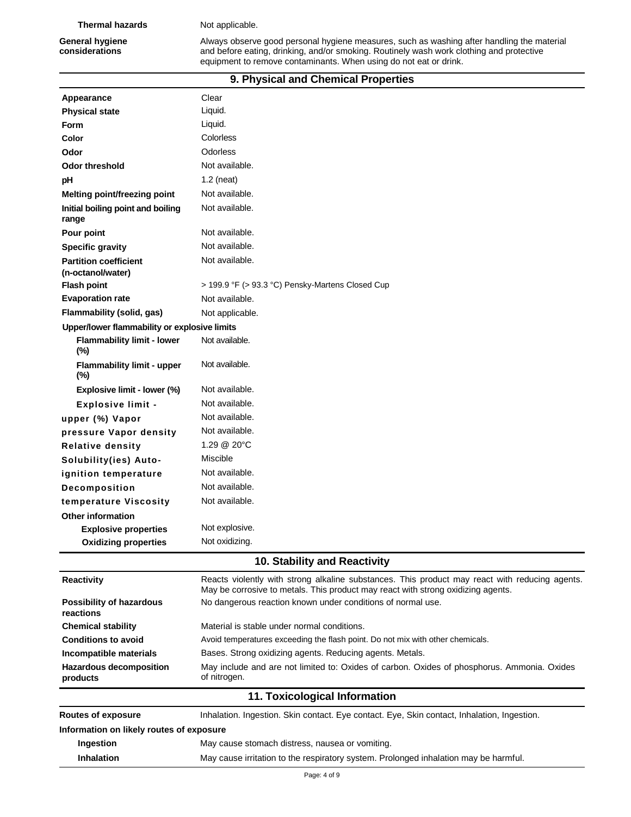**Thermal hazards** Not applicable.

General hygiene **Always observe good personal hygiene measures**, such as washing after handling the material **considerations** and before eating, drinking, and/or smoking. Routinely wash work clothing and protective equipment to remove contaminants. When using do not eat or drink.

# **9. Physical and Chemical Properties**

| Appearance                                   | Clear                                                                                                                                                                              |
|----------------------------------------------|------------------------------------------------------------------------------------------------------------------------------------------------------------------------------------|
| <b>Physical state</b>                        | Liquid.                                                                                                                                                                            |
| Form                                         | Liquid.                                                                                                                                                                            |
| Color                                        | Colorless                                                                                                                                                                          |
| Odor                                         | Odorless                                                                                                                                                                           |
| <b>Odor threshold</b>                        | Not available.                                                                                                                                                                     |
| рH                                           | $1.2$ (neat)                                                                                                                                                                       |
| <b>Melting point/freezing point</b>          | Not available.                                                                                                                                                                     |
| Initial boiling point and boiling<br>range   | Not available.                                                                                                                                                                     |
| Pour point                                   | Not available.                                                                                                                                                                     |
| <b>Specific gravity</b>                      | Not available.                                                                                                                                                                     |
| <b>Partition coefficient</b>                 | Not available.                                                                                                                                                                     |
| (n-octanol/water)                            |                                                                                                                                                                                    |
| <b>Flash point</b>                           | > 199.9 °F (> 93.3 °C) Pensky-Martens Closed Cup                                                                                                                                   |
| <b>Evaporation rate</b>                      | Not available.                                                                                                                                                                     |
| <b>Flammability (solid, gas)</b>             | Not applicable.                                                                                                                                                                    |
| Upper/lower flammability or explosive limits |                                                                                                                                                                                    |
| <b>Flammability limit - lower</b><br>(%)     | Not available.                                                                                                                                                                     |
| <b>Flammability limit - upper</b><br>$(\%)$  | Not available.                                                                                                                                                                     |
| Explosive limit - lower (%)                  | Not available.                                                                                                                                                                     |
| <b>Explosive limit -</b>                     | Not available.                                                                                                                                                                     |
| upper (%) Vapor                              | Not available.                                                                                                                                                                     |
| pressure Vapor density                       | Not available.                                                                                                                                                                     |
| <b>Relative density</b>                      | 1.29 @ 20°C                                                                                                                                                                        |
| Solubility(ies) Auto-                        | Miscible                                                                                                                                                                           |
| ignition temperature                         | Not available.                                                                                                                                                                     |
| Decomposition                                | Not available.                                                                                                                                                                     |
| temperature Viscosity                        | Not available.                                                                                                                                                                     |
| <b>Other information</b>                     |                                                                                                                                                                                    |
| <b>Explosive properties</b>                  | Not explosive.                                                                                                                                                                     |
| <b>Oxidizing properties</b>                  | Not oxidizing.                                                                                                                                                                     |
|                                              |                                                                                                                                                                                    |
|                                              | 10. Stability and Reactivity                                                                                                                                                       |
| <b>Reactivity</b>                            | Reacts violently with strong alkaline substances. This product may react with reducing agents.<br>May be corrosive to metals. This product may react with strong oxidizing agents. |
| <b>Possibility of hazardous</b><br>reactions | No dangerous reaction known under conditions of normal use.                                                                                                                        |
| <b>Chemical stability</b>                    | Material is stable under normal conditions.                                                                                                                                        |
| <b>Conditions to avoid</b>                   | Avoid temperatures exceeding the flash point. Do not mix with other chemicals.                                                                                                     |
| Incompatible materials                       | Bases. Strong oxidizing agents. Reducing agents. Metals.                                                                                                                           |
| <b>Hazardous decomposition</b><br>products   | May include and are not limited to: Oxides of carbon. Oxides of phosphorus. Ammonia. Oxides<br>of nitrogen.                                                                        |
|                                              | 11. Toxicological Information                                                                                                                                                      |
| <b>Routes of exposure</b>                    | Inhalation. Ingestion. Skin contact. Eye contact. Eye, Skin contact, Inhalation, Ingestion.                                                                                        |
| Information on likely routes of exposure     |                                                                                                                                                                                    |
| Ingestion                                    | May cause stomach distress, nausea or vomiting.                                                                                                                                    |
| <b>Inhalation</b>                            | May cause irritation to the respiratory system. Prolonged inhalation may be harmful.                                                                                               |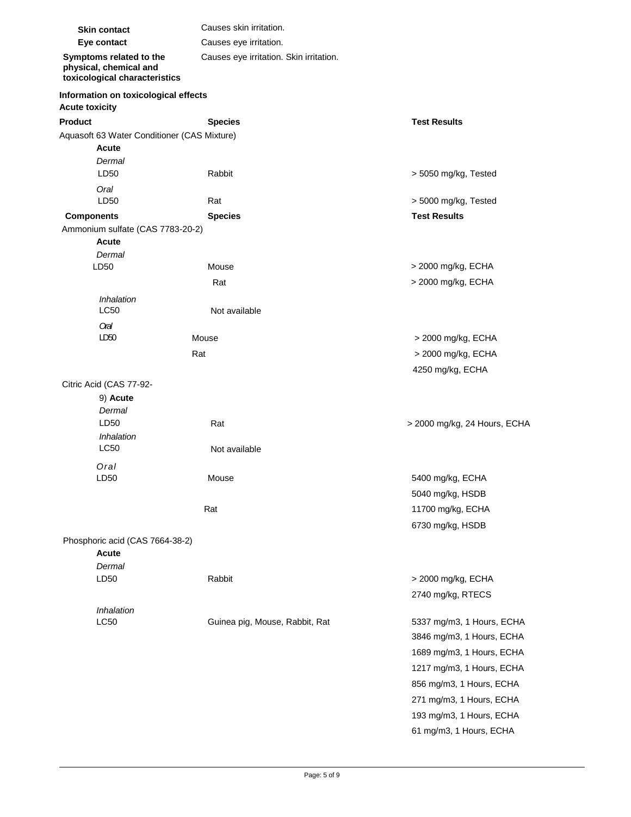| <b>Skin contact</b>                                                                | Causes skin irritation.                 |                              |  |
|------------------------------------------------------------------------------------|-----------------------------------------|------------------------------|--|
| Eye contact                                                                        | Causes eye irritation.                  |                              |  |
| Symptoms related to the<br>physical, chemical and<br>toxicological characteristics | Causes eye irritation. Skin irritation. |                              |  |
| Information on toxicological effects<br><b>Acute toxicity</b>                      |                                         |                              |  |
| <b>Product</b>                                                                     | <b>Species</b>                          | <b>Test Results</b>          |  |
| Aquasoft 63 Water Conditioner (CAS Mixture)                                        |                                         |                              |  |
| <b>Acute</b>                                                                       |                                         |                              |  |
| Dermal                                                                             |                                         |                              |  |
| LD50                                                                               | Rabbit                                  | > 5050 mg/kg, Tested         |  |
| Oral                                                                               |                                         |                              |  |
| LD50                                                                               | Rat                                     | > 5000 mg/kg, Tested         |  |
| <b>Components</b>                                                                  | <b>Species</b>                          | <b>Test Results</b>          |  |
| Ammonium sulfate (CAS 7783-20-2)                                                   |                                         |                              |  |
| <b>Acute</b>                                                                       |                                         |                              |  |
| Dermal                                                                             |                                         |                              |  |
| LD50                                                                               | Mouse                                   | > 2000 mg/kg, ECHA           |  |
|                                                                                    | Rat                                     | > 2000 mg/kg, ECHA           |  |
| Inhalation                                                                         |                                         |                              |  |
| <b>LC50</b>                                                                        | Not available                           |                              |  |
| Oral                                                                               |                                         |                              |  |
| LD50                                                                               | Mouse                                   | > 2000 mg/kg, ECHA           |  |
|                                                                                    | Rat                                     | > 2000 mg/kg, ECHA           |  |
|                                                                                    |                                         | 4250 mg/kg, ECHA             |  |
| Citric Acid (CAS 77-92-                                                            |                                         |                              |  |
| 9) Acute                                                                           |                                         |                              |  |
| Dermal                                                                             |                                         |                              |  |
| LD50                                                                               | Rat                                     | > 2000 mg/kg, 24 Hours, ECHA |  |
| Inhalation<br>LC50                                                                 | Not available                           |                              |  |
|                                                                                    |                                         |                              |  |
| Oral<br>LD50                                                                       | Mouse                                   |                              |  |
|                                                                                    |                                         | 5400 mg/kg, ECHA             |  |
|                                                                                    |                                         | 5040 mg/kg, HSDB             |  |
|                                                                                    | Rat                                     | 11700 mg/kg, ECHA            |  |
|                                                                                    |                                         | 6730 mg/kg, HSDB             |  |
| Phosphoric acid (CAS 7664-38-2)                                                    |                                         |                              |  |
| Acute                                                                              |                                         |                              |  |
| Dermal                                                                             |                                         |                              |  |
| LD50                                                                               | Rabbit                                  | > 2000 mg/kg, ECHA           |  |
|                                                                                    |                                         | 2740 mg/kg, RTECS            |  |
| Inhalation                                                                         |                                         |                              |  |
| LC50                                                                               | Guinea pig, Mouse, Rabbit, Rat          | 5337 mg/m3, 1 Hours, ECHA    |  |
|                                                                                    |                                         | 3846 mg/m3, 1 Hours, ECHA    |  |
|                                                                                    |                                         | 1689 mg/m3, 1 Hours, ECHA    |  |
|                                                                                    |                                         | 1217 mg/m3, 1 Hours, ECHA    |  |
|                                                                                    |                                         | 856 mg/m3, 1 Hours, ECHA     |  |
|                                                                                    |                                         | 271 mg/m3, 1 Hours, ECHA     |  |
|                                                                                    |                                         | 193 mg/m3, 1 Hours, ECHA     |  |
|                                                                                    |                                         |                              |  |

61 mg/m3, 1 Hours, ECHA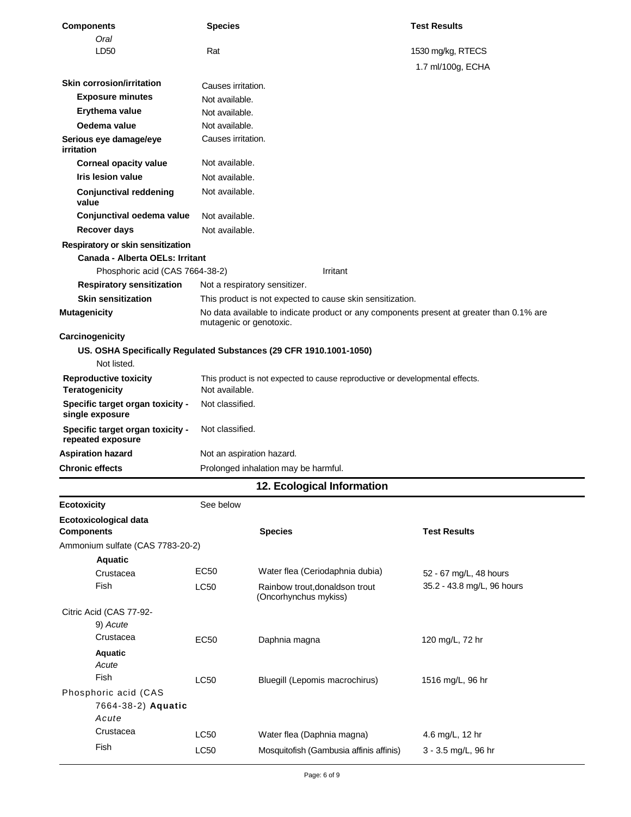| <b>Components</b>                                     | <b>Species</b>                       |                                                                                          | <b>Test Results</b>        |
|-------------------------------------------------------|--------------------------------------|------------------------------------------------------------------------------------------|----------------------------|
| Oral<br>LD50                                          | Rat                                  |                                                                                          | 1530 mg/kg, RTECS          |
|                                                       |                                      |                                                                                          | 1.7 ml/100g, ECHA          |
|                                                       |                                      |                                                                                          |                            |
| <b>Skin corrosion/irritation</b>                      | Causes irritation.                   |                                                                                          |                            |
| <b>Exposure minutes</b>                               | Not available.                       |                                                                                          |                            |
| Erythema value                                        | Not available.                       |                                                                                          |                            |
| Oedema value                                          | Not available.<br>Causes irritation. |                                                                                          |                            |
| Serious eye damage/eye<br>irritation                  |                                      |                                                                                          |                            |
| <b>Corneal opacity value</b>                          | Not available.                       |                                                                                          |                            |
| Iris lesion value                                     | Not available.                       |                                                                                          |                            |
| <b>Conjunctival reddening</b><br>value                | Not available.                       |                                                                                          |                            |
| Conjunctival oedema value                             | Not available.                       |                                                                                          |                            |
| <b>Recover days</b>                                   | Not available.                       |                                                                                          |                            |
| Respiratory or skin sensitization                     |                                      |                                                                                          |                            |
| Canada - Alberta OELs: Irritant                       |                                      |                                                                                          |                            |
| Phosphoric acid (CAS 7664-38-2)                       |                                      | Irritant                                                                                 |                            |
| <b>Respiratory sensitization</b>                      | Not a respiratory sensitizer.        |                                                                                          |                            |
| <b>Skin sensitization</b>                             |                                      | This product is not expected to cause skin sensitization.                                |                            |
| <b>Mutagenicity</b>                                   | mutagenic or genotoxic.              | No data available to indicate product or any components present at greater than 0.1% are |                            |
| Carcinogenicity                                       |                                      |                                                                                          |                            |
| Not listed.                                           |                                      | US. OSHA Specifically Regulated Substances (29 CFR 1910.1001-1050)                       |                            |
| <b>Reproductive toxicity</b><br><b>Teratogenicity</b> | Not available.                       | This product is not expected to cause reproductive or developmental effects.             |                            |
| Specific target organ toxicity -<br>single exposure   | Not classified.                      |                                                                                          |                            |
| Specific target organ toxicity -<br>repeated exposure | Not classified.                      |                                                                                          |                            |
| <b>Aspiration hazard</b>                              | Not an aspiration hazard.            |                                                                                          |                            |
| <b>Chronic effects</b>                                |                                      | Prolonged inhalation may be harmful.                                                     |                            |
|                                                       |                                      | 12. Ecological Information                                                               |                            |
| <b>Ecotoxicity</b>                                    | See below                            |                                                                                          |                            |
| Ecotoxicological data<br><b>Components</b>            |                                      | <b>Species</b>                                                                           | <b>Test Results</b>        |
| Ammonium sulfate (CAS 7783-20-2)                      |                                      |                                                                                          |                            |
| <b>Aquatic</b>                                        |                                      |                                                                                          |                            |
| Crustacea                                             | <b>EC50</b>                          | Water flea (Ceriodaphnia dubia)                                                          | 52 - 67 mg/L, 48 hours     |
| Fish                                                  | <b>LC50</b>                          | Rainbow trout, donaldson trout<br>(Oncorhynchus mykiss)                                  | 35.2 - 43.8 mg/L, 96 hours |
| Citric Acid (CAS 77-92-                               |                                      |                                                                                          |                            |
| 9) Acute                                              |                                      |                                                                                          |                            |
| Crustacea                                             | EC50                                 | Daphnia magna                                                                            | 120 mg/L, 72 hr            |
| <b>Aquatic</b>                                        |                                      |                                                                                          |                            |
| Acute                                                 |                                      |                                                                                          |                            |
| Fish                                                  | LC50                                 | Bluegill (Lepomis macrochirus)                                                           | 1516 mg/L, 96 hr           |
| Phosphoric acid (CAS<br>7664-38-2) Aquatic            |                                      |                                                                                          |                            |
| Acute<br>Crustacea                                    |                                      |                                                                                          |                            |
|                                                       | LC50                                 | Water flea (Daphnia magna)                                                               | 4.6 mg/L, 12 hr            |
| Fish                                                  | LC50                                 | Mosquitofish (Gambusia affinis affinis)                                                  | 3 - 3.5 mg/L, 96 hr        |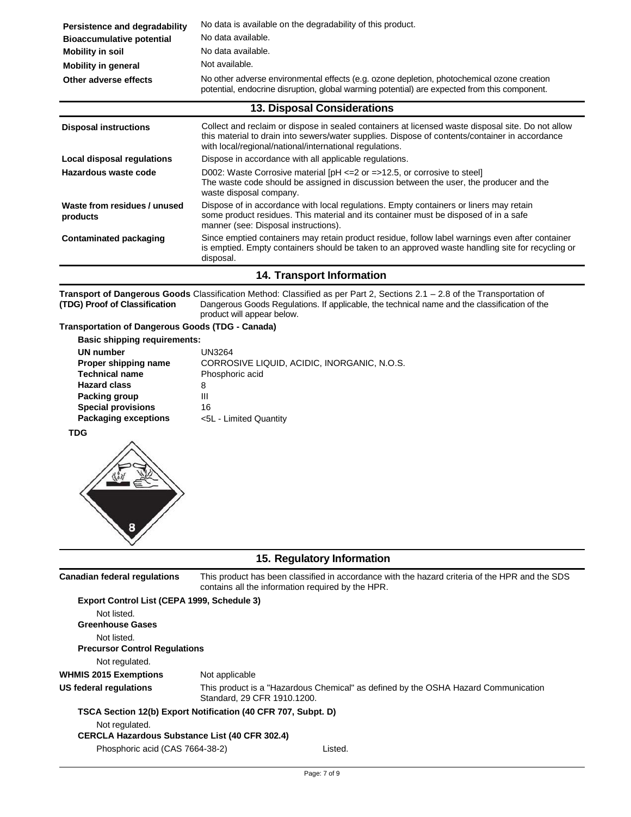| Persistence and degradability    | No data is available on the degradability of this product.                                                                                                                                 |  |
|----------------------------------|--------------------------------------------------------------------------------------------------------------------------------------------------------------------------------------------|--|
| <b>Bioaccumulative potential</b> | No data available.                                                                                                                                                                         |  |
| Mobility in soil                 | No data available.                                                                                                                                                                         |  |
| Mobility in general              | Not available.                                                                                                                                                                             |  |
| Other adverse effects            | No other adverse environmental effects (e.g. ozone depletion, photochemical ozone creation<br>potential, endocrine disruption, global warming potential) are expected from this component. |  |

### **13. Disposal Considerations**

| <b>Disposal instructions</b>             | Collect and reclaim or dispose in sealed containers at licensed waste disposal site. Do not allow<br>this material to drain into sewers/water supplies. Dispose of contents/container in accordance<br>with local/regional/national/international regulations. |
|------------------------------------------|----------------------------------------------------------------------------------------------------------------------------------------------------------------------------------------------------------------------------------------------------------------|
| Local disposal regulations               | Dispose in accordance with all applicable regulations.                                                                                                                                                                                                         |
| Hazardous waste code                     | D002: Waste Corrosive material $[PH \le 2$ or $= >12.5$ , or corrosive to steel<br>The waste code should be assigned in discussion between the user, the producer and the<br>waste disposal company.                                                           |
| Waste from residues / unused<br>products | Dispose of in accordance with local regulations. Empty containers or liners may retain<br>some product residues. This material and its container must be disposed of in a safe<br>manner (see: Disposal instructions).                                         |
| <b>Contaminated packaging</b>            | Since emptied containers may retain product residue, follow label warnings even after container<br>is emptied. Empty containers should be taken to an approved waste handling site for recycling or<br>disposal.                                               |

### **14. Transport Information**

**Transport of Dangerous Goods** Classification Method: Classified as per Part 2, Sections 2.1 – 2.8 of the Transportation of **(TDG) Proof of Classification** Dangerous Goods Regulations. If applicable, the technical name and the classification of the product will appear below.

### **Transportation of Dangerous Goods (TDG - Canada)**

| <b>Basic shipping requirements:</b> |                                             |
|-------------------------------------|---------------------------------------------|
| <b>UN number</b>                    | UN3264                                      |
| Proper shipping name                | CORROSIVE LIQUID, ACIDIC, INORGANIC, N.O.S. |
| <b>Technical name</b>               | Phosphoric acid                             |
| <b>Hazard class</b>                 | 8                                           |
| Packing group                       | Ш                                           |
| <b>Special provisions</b>           | 16                                          |
| <b>Packaging exceptions</b>         | <5L - Limited Quantity                      |
|                                     |                                             |

**TDG**



# **15. Regulatory Information**

| <b>Canadian federal requlations</b>                   | This product has been classified in accordance with the hazard criteria of the HPR and the SDS<br>contains all the information required by the HPR. |
|-------------------------------------------------------|-----------------------------------------------------------------------------------------------------------------------------------------------------|
| Export Control List (CEPA 1999, Schedule 3)           |                                                                                                                                                     |
| Not listed.<br><b>Greenhouse Gases</b>                |                                                                                                                                                     |
| Not listed.<br><b>Precursor Control Requiations</b>   |                                                                                                                                                     |
| Not regulated.                                        |                                                                                                                                                     |
| <b>WHMIS 2015 Exemptions</b>                          | Not applicable                                                                                                                                      |
| US federal regulations                                | This product is a "Hazardous Chemical" as defined by the OSHA Hazard Communication<br>Standard, 29 CFR 1910.1200.                                   |
|                                                       | TSCA Section 12(b) Export Notification (40 CFR 707, Subpt. D)                                                                                       |
| Not regulated.                                        |                                                                                                                                                     |
| <b>CERCLA Hazardous Substance List (40 CFR 302.4)</b> |                                                                                                                                                     |
| Phosphoric acid (CAS 7664-38-2)                       | Listed.                                                                                                                                             |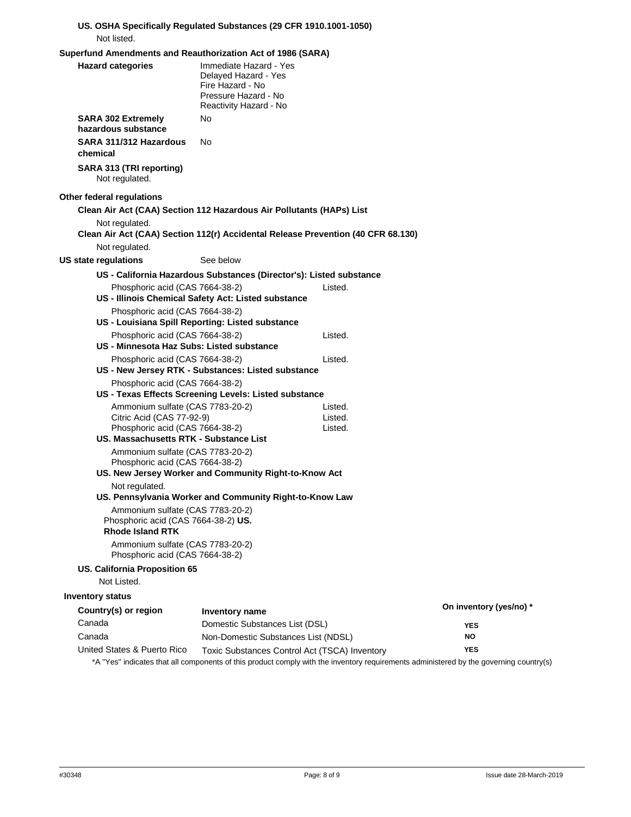#### **US. OSHA Specifically Regulated Substances (29 CFR 1910.1001-1050)**  Not listed.

#### **Superfund Amendments and Reauthorization Act of 1986 (SARA)**

| <b>Superfully American City and Negative Ization Act of 1960 (SANA)</b>                            |                                                                                                                      |         |                         |
|----------------------------------------------------------------------------------------------------|----------------------------------------------------------------------------------------------------------------------|---------|-------------------------|
| <b>Hazard categories</b>                                                                           | Immediate Hazard - Yes<br>Delayed Hazard - Yes<br>Fire Hazard - No<br>Pressure Hazard - No<br>Reactivity Hazard - No |         |                         |
| <b>SARA 302 Extremely</b><br>hazardous substance                                                   | No                                                                                                                   |         |                         |
| SARA 311/312 Hazardous<br>chemical                                                                 | No                                                                                                                   |         |                         |
| SARA 313 (TRI reporting)<br>Not regulated.                                                         |                                                                                                                      |         |                         |
| Other federal regulations                                                                          |                                                                                                                      |         |                         |
|                                                                                                    | Clean Air Act (CAA) Section 112 Hazardous Air Pollutants (HAPs) List                                                 |         |                         |
| Not regulated.                                                                                     | Clean Air Act (CAA) Section 112(r) Accidental Release Prevention (40 CFR 68.130)                                     |         |                         |
| Not regulated.                                                                                     |                                                                                                                      |         |                         |
| US state regulations                                                                               | See below                                                                                                            |         |                         |
|                                                                                                    | US - California Hazardous Substances (Director's): Listed substance                                                  |         |                         |
| Phosphoric acid (CAS 7664-38-2)                                                                    | US - Illinois Chemical Safety Act: Listed substance                                                                  | Listed. |                         |
| Phosphoric acid (CAS 7664-38-2)                                                                    | US - Louisiana Spill Reporting: Listed substance                                                                     |         |                         |
| Phosphoric acid (CAS 7664-38-2)<br>US - Minnesota Haz Subs: Listed substance                       |                                                                                                                      | Listed. |                         |
| Phosphoric acid (CAS 7664-38-2)                                                                    |                                                                                                                      | Listed. |                         |
|                                                                                                    | US - New Jersey RTK - Substances: Listed substance                                                                   |         |                         |
| Phosphoric acid (CAS 7664-38-2)                                                                    | US - Texas Effects Screening Levels: Listed substance                                                                |         |                         |
| Ammonium sulfate (CAS 7783-20-2)                                                                   |                                                                                                                      | Listed. |                         |
| Citric Acid (CAS 77-92-9)                                                                          |                                                                                                                      | Listed. |                         |
| Phosphoric acid (CAS 7664-38-2)<br>US. Massachusetts RTK - Substance List                          |                                                                                                                      | Listed. |                         |
| Ammonium sulfate (CAS 7783-20-2)                                                                   |                                                                                                                      |         |                         |
| Phosphoric acid (CAS 7664-38-2)                                                                    |                                                                                                                      |         |                         |
|                                                                                                    | US. New Jersey Worker and Community Right-to-Know Act                                                                |         |                         |
| Not regulated.                                                                                     |                                                                                                                      |         |                         |
| Ammonium sulfate (CAS 7783-20-2)<br>Phosphoric acid (CAS 7664-38-2) US.<br><b>Rhode Island RTK</b> | US. Pennsylvania Worker and Community Right-to-Know Law                                                              |         |                         |
| Ammonium sulfate (CAS 7783-20-2)<br>Phosphoric acid (CAS 7664-38-2)                                |                                                                                                                      |         |                         |
| US. California Proposition 65<br>Not Listed.                                                       |                                                                                                                      |         |                         |
| <b>Inventory status</b>                                                                            |                                                                                                                      |         |                         |
| Country(s) or region                                                                               |                                                                                                                      |         | On inventory (yes/no) * |
| Canada                                                                                             | Inventory name                                                                                                       |         |                         |
| Canada                                                                                             | Domestic Substances List (DSL)<br>Non-Domestic Substances List (NDSL)                                                |         | <b>YES</b><br><b>NO</b> |
| United States & Puerto Rico                                                                        | Toxic Substances Control Act (TSCA) Inventory                                                                        |         | <b>YES</b>              |
|                                                                                                    |                                                                                                                      |         |                         |

United States & Puerto Rico Toxic Substances Control Act (TSCA) Inventory \*A "Yes" indicates that all components of this product comply with the inventory requirements administered by the governing country(s)